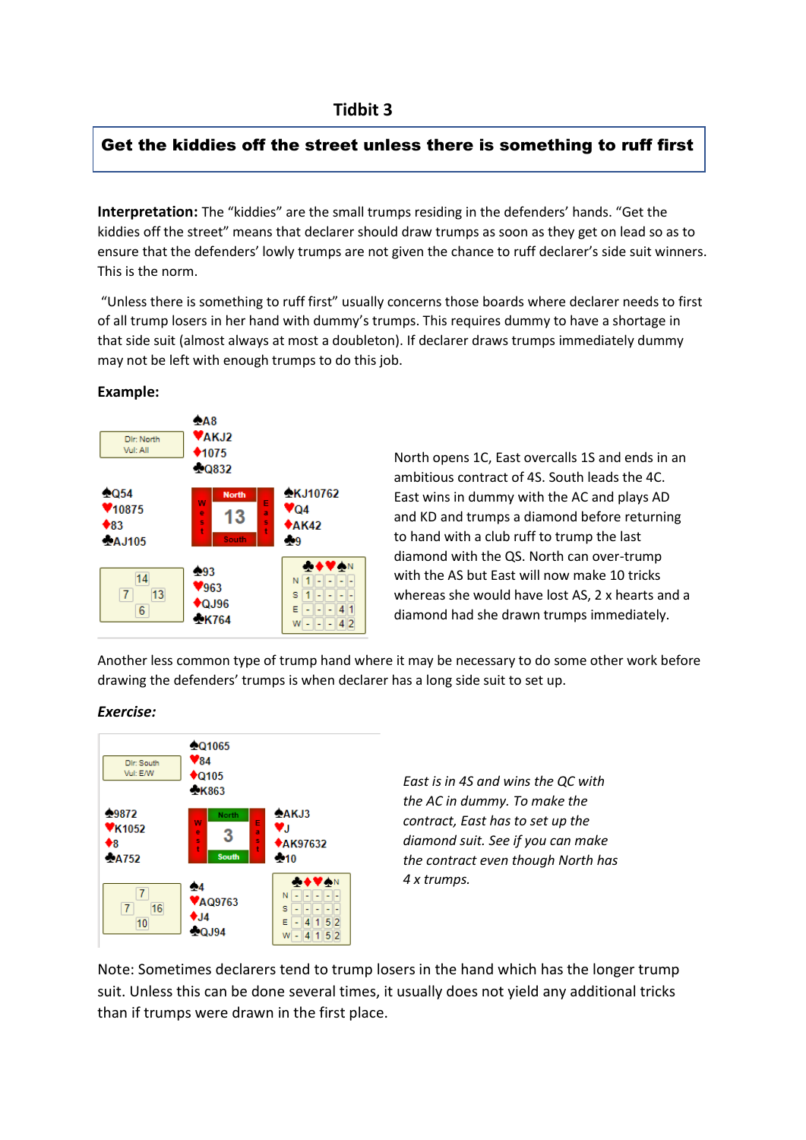## Get the kiddies off the street unless there is something to ruff first

**Interpretation:** The "kiddies" are the small trumps residing in the defenders' hands. "Get the kiddies off the street" means that declarer should draw trumps as soon as they get on lead so as to ensure that the defenders' lowly trumps are not given the chance to ruff declarer's side suit winners. This is the norm.

"Unless there is something to ruff first" usually concerns those boards where declarer needs to first of all trump losers in her hand with dummy's trumps. This requires dummy to have a shortage in that side suit (almost always at most a doubleton). If declarer draws trumps immediately dummy may not be left with enough trumps to do this job.



## **Example:**

North opens 1C, East overcalls 1S and ends in an ambitious contract of 4S. South leads the 4C. East wins in dummy with the AC and plays AD and KD and trumps a diamond before returning to hand with a club ruff to trump the last diamond with the QS. North can over-trump with the AS but East will now make 10 tricks whereas she would have lost AS, 2 x hearts and a diamond had she drawn trumps immediately.

Another less common type of trump hand where it may be necessary to do some other work before drawing the defenders' trumps is when declarer has a long side suit to set up.

## *Exercise:*



*East is in 4S and wins the QC with the AC in dummy. To make the contract, East has to set up the diamond suit. See if you can make the contract even though North has 4 x trumps.*

Note: Sometimes declarers tend to trump losers in the hand which has the longer trump suit. Unless this can be done several times, it usually does not yield any additional tricks than if trumps were drawn in the first place.